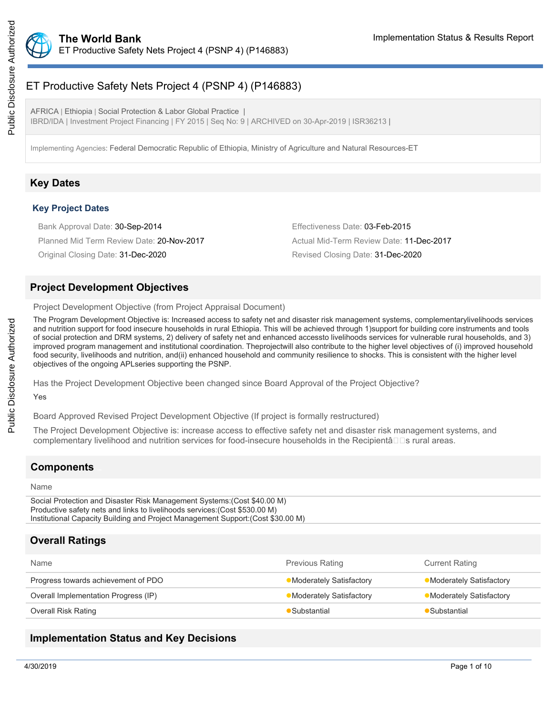

# ET Productive Safety Nets Project 4 (PSNP 4) (P146883)

AFRICA | Ethiopia | Social Protection & Labor Global Practice | IBRD/IDA | Investment Project Financing | FY 2015 | Seq No: 9 | ARCHIVED on 30-Apr-2019 | ISR36213 |

Implementing Agencies: Federal Democratic Republic of Ethiopia, Ministry of Agriculture and Natural Resources-ET

### **Key Dates**

#### **Key Project Dates**

Bank Approval Date: 30-Sep-2014 **Effectiveness Date: 03-Feb-2015** Planned Mid Term Review Date: 20-Nov-2017 Actual Mid-Term Review Date: 11-Dec-2017 Original Closing Date: 31-Dec-2020 Revised Closing Date: 31-Dec-2020

### **Project Development Objectives**

Project Development Objective (from Project Appraisal Document)

The Program Development Objective is: Increased access to safety net and disaster risk management systems, complementarylivelihoods services and nutrition support for food insecure households in rural Ethiopia. This will be achieved through 1)support for building core instruments and tools of social protection and DRM systems, 2) delivery of safety net and enhanced accessto livelihoods services for vulnerable rural households, and 3) improved program management and institutional coordination. Theprojectwill also contribute to the higher level objectives of (i) improved household food security, livelihoods and nutrition, and(ii) enhanced household and community resilience to shocks. This is consistent with the higher level objectives of the ongoing APLseries supporting the PSNP.

Has the Project Development Objective been changed since Board Approval of the Project Objective?

### Yes

Board Approved Revised Project Development Objective (If project is formally restructured)

The Project Development Objective is: increase access to effective safety net and disaster risk management systems, and complementary livelihood and nutrition services for food-insecure households in the Recipientâ $\Box$  rural areas.

# **Components**

#### Name

Social Protection and Disaster Risk Management Systems:(Cost \$40.00 M) Productive safety nets and links to livelihoods services:(Cost \$530.00 M) Institutional Capacity Building and Project Management Support:(Cost \$30.00 M)

# **Overall Ratings**

| Name                                 | <b>Previous Rating</b>   | <b>Current Rating</b>          |
|--------------------------------------|--------------------------|--------------------------------|
| Progress towards achievement of PDO  | •Moderately Satisfactory | <b>Moderately Satisfactory</b> |
| Overall Implementation Progress (IP) | •Moderately Satisfactory | •Moderately Satisfactory       |
| Overall Risk Rating                  | Substantial              | ■Substantial                   |
|                                      |                          |                                |

### **Implementation Status and Key Decisions**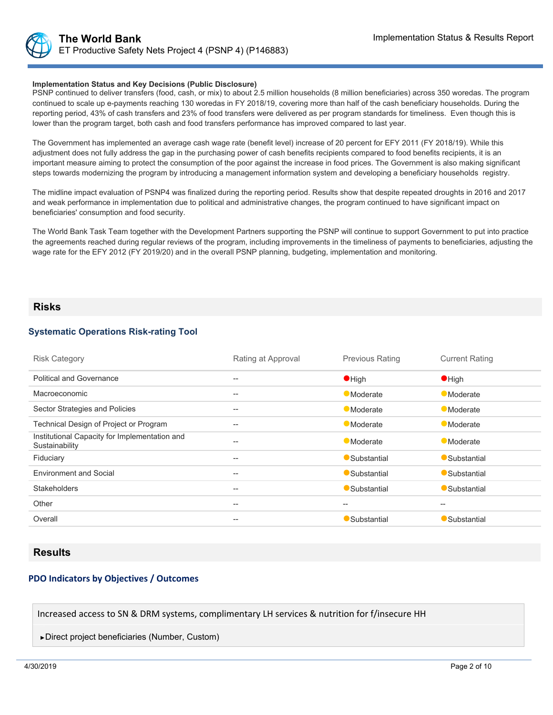#### **Implementation Status and Key Decisions (Public Disclosure)**

PSNP continued to deliver transfers (food, cash, or mix) to about 2.5 million households (8 million beneficiaries) across 350 woredas. The program continued to scale up e-payments reaching 130 woredas in FY 2018/19, covering more than half of the cash beneficiary households. During the reporting period, 43% of cash transfers and 23% of food transfers were delivered as per program standards for timeliness. Even though this is lower than the program target, both cash and food transfers performance has improved compared to last year.

The Government has implemented an average cash wage rate (benefit level) increase of 20 percent for EFY 2011 (FY 2018/19). While this adjustment does not fully address the gap in the purchasing power of cash benefits recipients compared to food benefits recipients, it is an important measure aiming to protect the consumption of the poor against the increase in food prices. The Government is also making significant steps towards modernizing the program by introducing a management information system and developing a beneficiary households registry.

The midline impact evaluation of PSNP4 was finalized during the reporting period. Results show that despite repeated droughts in 2016 and 2017 and weak performance in implementation due to political and administrative changes, the program continued to have significant impact on beneficiaries' consumption and food security.

The World Bank Task Team together with the Development Partners supporting the PSNP will continue to support Government to put into practice the agreements reached during regular reviews of the program, including improvements in the timeliness of payments to beneficiaries, adjusting the wage rate for the EFY 2012 (FY 2019/20) and in the overall PSNP planning, budgeting, implementation and monitoring.

### **Risks**

#### **Systematic Operations Risk-rating Tool**

| <b>Risk Category</b>                                            | Rating at Approval | <b>Previous Rating</b> | <b>Current Rating</b>                               |
|-----------------------------------------------------------------|--------------------|------------------------|-----------------------------------------------------|
| <b>Political and Governance</b>                                 | $- -$              | $\bullet$ High         | $\bullet$ High                                      |
| Macroeconomic                                                   | --                 | <b>Moderate</b>        | <b>Moderate</b>                                     |
| Sector Strategies and Policies                                  | $- -$              | <b>Moderate</b>        | Moderate                                            |
| Technical Design of Project or Program                          | $- -$              | <b>Moderate</b>        | <b>Moderate</b>                                     |
| Institutional Capacity for Implementation and<br>Sustainability | --                 | <b>Moderate</b>        | <b>Moderate</b>                                     |
| Fiduciary                                                       | --                 | Substantial            | Substantial                                         |
| <b>Environment and Social</b>                                   | --                 | Substantial            | Substantial                                         |
| <b>Stakeholders</b>                                             | $- -$              | Substantial            | Substantial                                         |
| Other                                                           | $- -$              | $- -$                  | $\hspace{0.05cm} -\hspace{0.05cm} -\hspace{0.05cm}$ |
| Overall                                                         | --                 | Substantial            | Substantial                                         |

### **Results**

#### **PDO Indicators by Objectives / Outcomes**

Increased access to SN & DRM systems, complimentary LH services & nutrition for f/insecure HH

►Direct project beneficiaries (Number, Custom)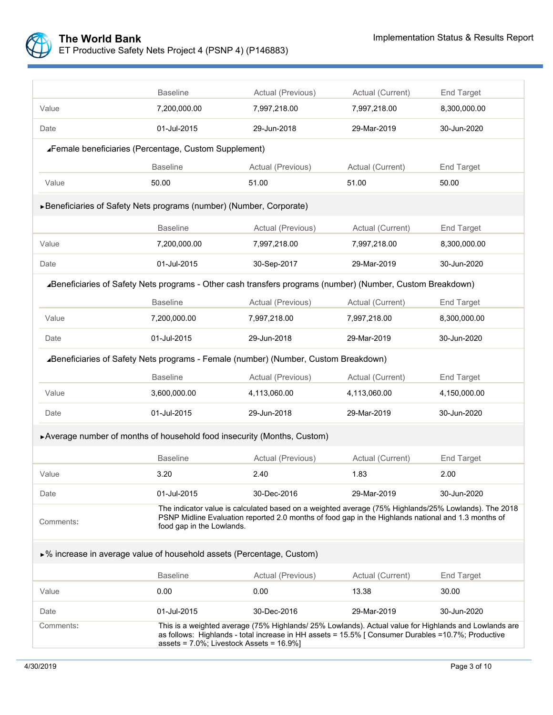

|                                                                                                            | <b>Baseline</b>                                                                                                                                                                                                                                                  | Actual (Previous)<br>Actual (Current) |                  | End Target        |  |  |  |  |
|------------------------------------------------------------------------------------------------------------|------------------------------------------------------------------------------------------------------------------------------------------------------------------------------------------------------------------------------------------------------------------|---------------------------------------|------------------|-------------------|--|--|--|--|
| Value                                                                                                      | 7,200,000.00                                                                                                                                                                                                                                                     | 7,997,218.00                          | 7,997,218.00     | 8,300,000.00      |  |  |  |  |
| Date                                                                                                       | 01-Jul-2015                                                                                                                                                                                                                                                      | 29-Jun-2018                           | 29-Mar-2019      | 30-Jun-2020       |  |  |  |  |
| ∡Female beneficiaries (Percentage, Custom Supplement)                                                      |                                                                                                                                                                                                                                                                  |                                       |                  |                   |  |  |  |  |
|                                                                                                            | <b>Baseline</b>                                                                                                                                                                                                                                                  | Actual (Previous)                     | Actual (Current) | End Target        |  |  |  |  |
| Value                                                                                                      | 50.00                                                                                                                                                                                                                                                            | 51.00                                 | 51.00            | 50.00             |  |  |  |  |
| ▶ Beneficiaries of Safety Nets programs (number) (Number, Corporate)                                       |                                                                                                                                                                                                                                                                  |                                       |                  |                   |  |  |  |  |
|                                                                                                            | <b>Baseline</b>                                                                                                                                                                                                                                                  | Actual (Previous)                     | Actual (Current) | End Target        |  |  |  |  |
| Value                                                                                                      | 7,200,000.00                                                                                                                                                                                                                                                     | 7,997,218.00                          | 7,997,218.00     | 8,300,000.00      |  |  |  |  |
| Date                                                                                                       | 01-Jul-2015                                                                                                                                                                                                                                                      | 30-Sep-2017                           | 29-Mar-2019      | 30-Jun-2020       |  |  |  |  |
| ⊿Beneficiaries of Safety Nets programs - Other cash transfers programs (number) (Number, Custom Breakdown) |                                                                                                                                                                                                                                                                  |                                       |                  |                   |  |  |  |  |
|                                                                                                            | <b>Baseline</b>                                                                                                                                                                                                                                                  | Actual (Previous)                     | Actual (Current) | End Target        |  |  |  |  |
| Value                                                                                                      | 7,200,000.00                                                                                                                                                                                                                                                     | 7,997,218.00                          | 7,997,218.00     | 8,300,000.00      |  |  |  |  |
| Date                                                                                                       | 01-Jul-2015                                                                                                                                                                                                                                                      | 29-Jun-2018                           | 29-Mar-2019      | 30-Jun-2020       |  |  |  |  |
| ⊿Beneficiaries of Safety Nets programs - Female (number) (Number, Custom Breakdown)                        |                                                                                                                                                                                                                                                                  |                                       |                  |                   |  |  |  |  |
|                                                                                                            | <b>Baseline</b>                                                                                                                                                                                                                                                  | Actual (Previous)                     | Actual (Current) | End Target        |  |  |  |  |
| Value                                                                                                      | 3,600,000.00                                                                                                                                                                                                                                                     | 4,113,060.00                          | 4,113,060.00     | 4,150,000.00      |  |  |  |  |
| Date                                                                                                       | 01-Jul-2015                                                                                                                                                                                                                                                      | 29-Jun-2018                           | 29-Mar-2019      | 30-Jun-2020       |  |  |  |  |
| ▶ Average number of months of household food insecurity (Months, Custom)                                   |                                                                                                                                                                                                                                                                  |                                       |                  |                   |  |  |  |  |
|                                                                                                            | <b>Baseline</b>                                                                                                                                                                                                                                                  | Actual (Previous)                     | Actual (Current) | End Target        |  |  |  |  |
| Value                                                                                                      | 3.20                                                                                                                                                                                                                                                             | 2.40                                  | 1.83             | 2.00              |  |  |  |  |
| Date                                                                                                       | 01-Jul-2015                                                                                                                                                                                                                                                      | 30-Dec-2016                           | 29-Mar-2019      | 30-Jun-2020       |  |  |  |  |
| Comments:                                                                                                  | The indicator value is calculated based on a weighted average (75% Highlands/25% Lowlands). The 2018<br>PSNP Midline Evaluation reported 2.0 months of food gap in the Highlands national and 1.3 months of<br>food gap in the Lowlands.                         |                                       |                  |                   |  |  |  |  |
| ▶% increase in average value of household assets (Percentage, Custom)                                      |                                                                                                                                                                                                                                                                  |                                       |                  |                   |  |  |  |  |
|                                                                                                            | <b>Baseline</b>                                                                                                                                                                                                                                                  | Actual (Previous)                     | Actual (Current) | <b>End Target</b> |  |  |  |  |
| Value                                                                                                      | 0.00                                                                                                                                                                                                                                                             | 0.00                                  | 13.38            | 30.00             |  |  |  |  |
| Date                                                                                                       | 01-Jul-2015                                                                                                                                                                                                                                                      | 30-Dec-2016                           | 29-Mar-2019      | 30-Jun-2020       |  |  |  |  |
| Comments:                                                                                                  | This is a weighted average (75% Highlands/ 25% Lowlands). Actual value for Highlands and Lowlands are<br>as follows: Highlands - total increase in HH assets = 15.5% [ Consumer Durables = 10.7%; Productive<br>assets = $7.0\%$ ; Livestock Assets = $16.9\%$ ] |                                       |                  |                   |  |  |  |  |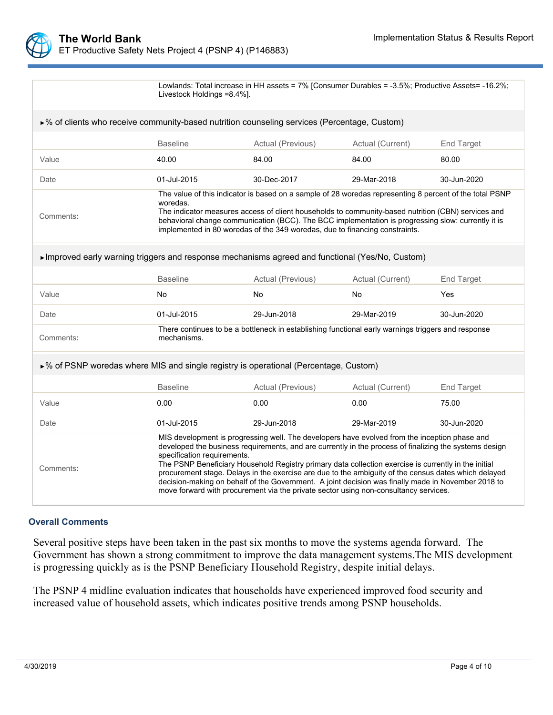| Lowlands: Total increase in HH assets = 7% [Consumer Durables = -3.5%; Productive Assets = -16.2%;<br>Livestock Holdings =8.4%]. |
|----------------------------------------------------------------------------------------------------------------------------------|
|                                                                                                                                  |

| $\triangleright$ % of clients who receive community-based nutrition counseling services (Percentage, Custom) |                                                                                                                                                                                                                                                                                                                                                                                                                                                                                                                                                                                                                                                      |                                                                                                    |                  |                   |  |  |  |
|--------------------------------------------------------------------------------------------------------------|------------------------------------------------------------------------------------------------------------------------------------------------------------------------------------------------------------------------------------------------------------------------------------------------------------------------------------------------------------------------------------------------------------------------------------------------------------------------------------------------------------------------------------------------------------------------------------------------------------------------------------------------------|----------------------------------------------------------------------------------------------------|------------------|-------------------|--|--|--|
|                                                                                                              | <b>Baseline</b>                                                                                                                                                                                                                                                                                                                                                                                                                                                                                                                                                                                                                                      | Actual (Previous)                                                                                  | Actual (Current) | <b>End Target</b> |  |  |  |
| Value                                                                                                        | 40.00                                                                                                                                                                                                                                                                                                                                                                                                                                                                                                                                                                                                                                                | 84.00                                                                                              | 84.00            | 80.00             |  |  |  |
| Date                                                                                                         | 01-Jul-2015                                                                                                                                                                                                                                                                                                                                                                                                                                                                                                                                                                                                                                          | 30-Dec-2017                                                                                        | 29-Mar-2018      | 30-Jun-2020       |  |  |  |
| Comments:                                                                                                    | The value of this indicator is based on a sample of 28 woredas representing 8 percent of the total PSNP<br>woredas.<br>The indicator measures access of client households to community-based nutrition (CBN) services and<br>behavioral change communication (BCC). The BCC implementation is progressing slow: currently it is<br>implemented in 80 woredas of the 349 woredas, due to financing constraints.                                                                                                                                                                                                                                       |                                                                                                    |                  |                   |  |  |  |
| ► Improved early warning triggers and response mechanisms agreed and functional (Yes/No, Custom)             |                                                                                                                                                                                                                                                                                                                                                                                                                                                                                                                                                                                                                                                      |                                                                                                    |                  |                   |  |  |  |
|                                                                                                              | <b>Baseline</b>                                                                                                                                                                                                                                                                                                                                                                                                                                                                                                                                                                                                                                      | Actual (Previous)                                                                                  | Actual (Current) | End Target        |  |  |  |
| Value                                                                                                        | No                                                                                                                                                                                                                                                                                                                                                                                                                                                                                                                                                                                                                                                   | No                                                                                                 | No               | Yes               |  |  |  |
| Date                                                                                                         | 01-Jul-2015                                                                                                                                                                                                                                                                                                                                                                                                                                                                                                                                                                                                                                          | 29-Jun-2018<br>29-Mar-2019                                                                         |                  | 30-Jun-2020       |  |  |  |
| Comments:                                                                                                    | mechanisms.                                                                                                                                                                                                                                                                                                                                                                                                                                                                                                                                                                                                                                          | There continues to be a bottleneck in establishing functional early warnings triggers and response |                  |                   |  |  |  |
| ►% of PSNP woredas where MIS and single registry is operational (Percentage, Custom)                         |                                                                                                                                                                                                                                                                                                                                                                                                                                                                                                                                                                                                                                                      |                                                                                                    |                  |                   |  |  |  |
|                                                                                                              | <b>Baseline</b>                                                                                                                                                                                                                                                                                                                                                                                                                                                                                                                                                                                                                                      | Actual (Previous)                                                                                  | Actual (Current) | <b>End Target</b> |  |  |  |
| Value                                                                                                        | 0.00                                                                                                                                                                                                                                                                                                                                                                                                                                                                                                                                                                                                                                                 | 0.00                                                                                               | 0.00             | 75.00             |  |  |  |
| Date                                                                                                         | 01-Jul-2015                                                                                                                                                                                                                                                                                                                                                                                                                                                                                                                                                                                                                                          | 29-Jun-2018                                                                                        | 29-Mar-2019      | 30-Jun-2020       |  |  |  |
| Comments:                                                                                                    | MIS development is progressing well. The developers have evolved from the inception phase and<br>developed the business requirements, and are currently in the process of finalizing the systems design<br>specification requirements.<br>The PSNP Beneficiary Household Registry primary data collection exercise is currently in the initial<br>procurement stage. Delays in the exercise are due to the ambiguity of the census dates which delayed<br>decision-making on behalf of the Government. A joint decision was finally made in November 2018 to<br>move forward with procurement via the private sector using non-consultancy services. |                                                                                                    |                  |                   |  |  |  |

### **Overall Comments**

Several positive steps have been taken in the past six months to move the systems agenda forward. The Government has shown a strong commitment to improve the data management systems.The MIS development is progressing quickly as is the PSNP Beneficiary Household Registry, despite initial delays.

The PSNP 4 midline evaluation indicates that households have experienced improved food security and increased value of household assets, which indicates positive trends among PSNP households.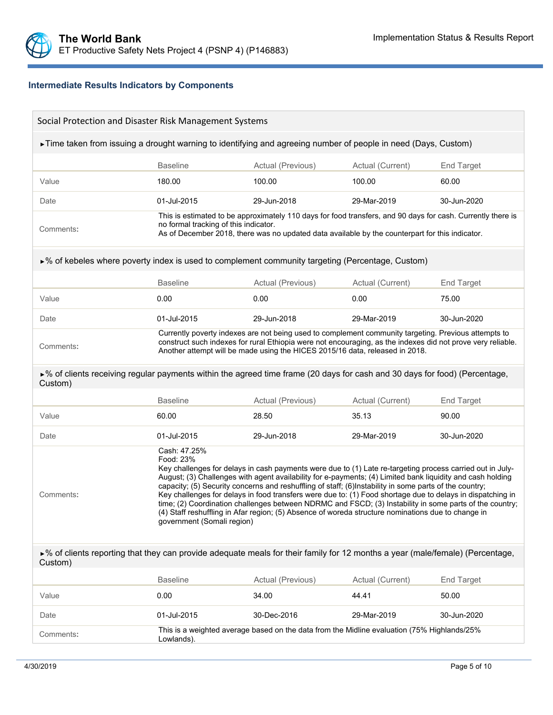## **Intermediate Results Indicators by Components**

| Social Protection and Disaster Risk Management Systems                                                                                   |                                                                                                                                                                                                                                                                                                                                                                                                                                                                                                                                                                                                                                                                                                                              |                                                                                                                                                                                                                                                                                                     |                  |                   |  |  |
|------------------------------------------------------------------------------------------------------------------------------------------|------------------------------------------------------------------------------------------------------------------------------------------------------------------------------------------------------------------------------------------------------------------------------------------------------------------------------------------------------------------------------------------------------------------------------------------------------------------------------------------------------------------------------------------------------------------------------------------------------------------------------------------------------------------------------------------------------------------------------|-----------------------------------------------------------------------------------------------------------------------------------------------------------------------------------------------------------------------------------------------------------------------------------------------------|------------------|-------------------|--|--|
| Fime taken from issuing a drought warning to identifying and agreeing number of people in need (Days, Custom)                            |                                                                                                                                                                                                                                                                                                                                                                                                                                                                                                                                                                                                                                                                                                                              |                                                                                                                                                                                                                                                                                                     |                  |                   |  |  |
|                                                                                                                                          | <b>Baseline</b>                                                                                                                                                                                                                                                                                                                                                                                                                                                                                                                                                                                                                                                                                                              | Actual (Previous)<br>Actual (Current)<br>End Target                                                                                                                                                                                                                                                 |                  |                   |  |  |
| Value                                                                                                                                    | 180.00                                                                                                                                                                                                                                                                                                                                                                                                                                                                                                                                                                                                                                                                                                                       | 100.00                                                                                                                                                                                                                                                                                              | 100.00           | 60.00             |  |  |
| Date                                                                                                                                     | 01-Jul-2015                                                                                                                                                                                                                                                                                                                                                                                                                                                                                                                                                                                                                                                                                                                  | 29-Jun-2018                                                                                                                                                                                                                                                                                         | 29-Mar-2019      | 30-Jun-2020       |  |  |
| Comments:                                                                                                                                | no formal tracking of this indicator.                                                                                                                                                                                                                                                                                                                                                                                                                                                                                                                                                                                                                                                                                        | This is estimated to be approximately 110 days for food transfers, and 90 days for cash. Currently there is<br>As of December 2018, there was no updated data available by the counterpart for this indicator.                                                                                      |                  |                   |  |  |
| ►% of kebeles where poverty index is used to complement community targeting (Percentage, Custom)                                         |                                                                                                                                                                                                                                                                                                                                                                                                                                                                                                                                                                                                                                                                                                                              |                                                                                                                                                                                                                                                                                                     |                  |                   |  |  |
|                                                                                                                                          | <b>Baseline</b>                                                                                                                                                                                                                                                                                                                                                                                                                                                                                                                                                                                                                                                                                                              | Actual (Previous)                                                                                                                                                                                                                                                                                   | Actual (Current) | <b>End Target</b> |  |  |
| Value                                                                                                                                    | 0.00                                                                                                                                                                                                                                                                                                                                                                                                                                                                                                                                                                                                                                                                                                                         | 0.00                                                                                                                                                                                                                                                                                                | 0.00             | 75.00             |  |  |
| Date                                                                                                                                     | 01-Jul-2015                                                                                                                                                                                                                                                                                                                                                                                                                                                                                                                                                                                                                                                                                                                  | 29-Jun-2018                                                                                                                                                                                                                                                                                         | 29-Mar-2019      | 30-Jun-2020       |  |  |
| Comments:                                                                                                                                |                                                                                                                                                                                                                                                                                                                                                                                                                                                                                                                                                                                                                                                                                                                              | Currently poverty indexes are not being used to complement community targeting. Previous attempts to<br>construct such indexes for rural Ethiopia were not encouraging, as the indexes did not prove very reliable.<br>Another attempt will be made using the HICES 2015/16 data, released in 2018. |                  |                   |  |  |
| ►% of clients receiving regular payments within the agreed time frame (20 days for cash and 30 days for food) (Percentage,<br>Custom)    |                                                                                                                                                                                                                                                                                                                                                                                                                                                                                                                                                                                                                                                                                                                              |                                                                                                                                                                                                                                                                                                     |                  |                   |  |  |
|                                                                                                                                          | <b>Baseline</b>                                                                                                                                                                                                                                                                                                                                                                                                                                                                                                                                                                                                                                                                                                              | Actual (Previous)                                                                                                                                                                                                                                                                                   | Actual (Current) | <b>End Target</b> |  |  |
| Value                                                                                                                                    | 60.00                                                                                                                                                                                                                                                                                                                                                                                                                                                                                                                                                                                                                                                                                                                        | 28.50                                                                                                                                                                                                                                                                                               | 35.13            | 90.00             |  |  |
| Date                                                                                                                                     | 01-Jul-2015                                                                                                                                                                                                                                                                                                                                                                                                                                                                                                                                                                                                                                                                                                                  | 29-Jun-2018                                                                                                                                                                                                                                                                                         | 29-Mar-2019      | 30-Jun-2020       |  |  |
| Comments:                                                                                                                                | Cash: 47.25%<br>Food: 23%<br>Key challenges for delays in cash payments were due to (1) Late re-targeting process carried out in July-<br>August; (3) Challenges with agent availability for e-payments; (4) Limited bank liquidity and cash holding<br>capacity; (5) Security concerns and reshuffling of staff; (6) Instability in some parts of the country;<br>Key challenges for delays in food transfers were due to: (1) Food shortage due to delays in dispatching in<br>time; (2) Coordination challenges between NDRMC and FSCD; (3) Instability in some parts of the country;<br>(4) Staff reshuffling in Afar region; (5) Absence of woreda structure nominations due to change in<br>government (Somali region) |                                                                                                                                                                                                                                                                                                     |                  |                   |  |  |
| ►% of clients reporting that they can provide adequate meals for their family for 12 months a year (male/female) (Percentage,<br>Custom) |                                                                                                                                                                                                                                                                                                                                                                                                                                                                                                                                                                                                                                                                                                                              |                                                                                                                                                                                                                                                                                                     |                  |                   |  |  |
|                                                                                                                                          | <b>Baseline</b>                                                                                                                                                                                                                                                                                                                                                                                                                                                                                                                                                                                                                                                                                                              | Actual (Previous)                                                                                                                                                                                                                                                                                   | Actual (Current) | End Target        |  |  |
| Value                                                                                                                                    | 0.00                                                                                                                                                                                                                                                                                                                                                                                                                                                                                                                                                                                                                                                                                                                         | 34.00                                                                                                                                                                                                                                                                                               | 44.41            | 50.00             |  |  |
| Date                                                                                                                                     | 01-Jul-2015                                                                                                                                                                                                                                                                                                                                                                                                                                                                                                                                                                                                                                                                                                                  | 30-Dec-2016                                                                                                                                                                                                                                                                                         | 29-Mar-2019      | 30-Jun-2020       |  |  |
| Comments:                                                                                                                                | Lowlands).                                                                                                                                                                                                                                                                                                                                                                                                                                                                                                                                                                                                                                                                                                                   | This is a weighted average based on the data from the Midline evaluation (75% Highlands/25%                                                                                                                                                                                                         |                  |                   |  |  |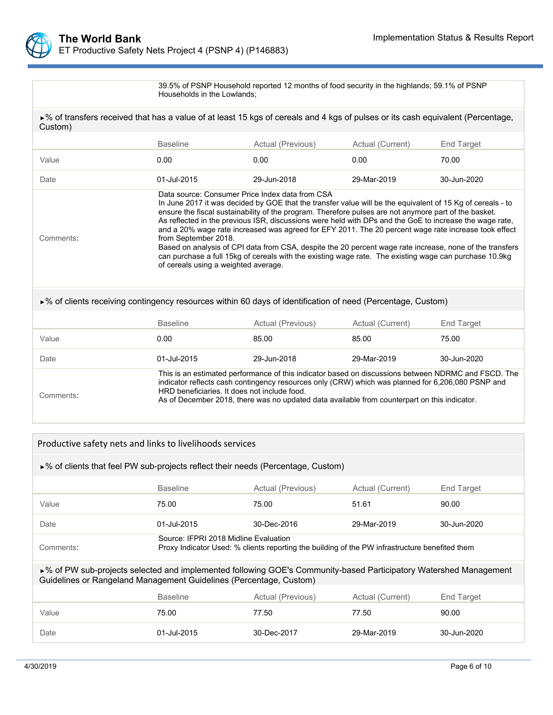

39.5% of PSNP Household reported 12 months of food security in the highlands; 59.1% of PSNP Households in the Lowlands;

►% of transfers received that has a value of at least 15 kgs of cereals and 4 kgs of pulses or its cash equivalent (Percentage, Custom) Baseline **Actual (Previous)** Actual (Current) End Target Value 0.00 0.00 0.00 70.00 Date 01-Jul-2015 29-Jun-2018 29-Mar-2019 30-Jun-2020 Comments**:** Data source: Consumer Price Index data from CSA In June 2017 it was decided by GOE that the transfer value will be the equivalent of 15 Kg of cereals - to ensure the fiscal sustainability of the program. Therefore pulses are not anymore part of the basket. As reflected in the previous ISR, discussions were held with DPs and the GoE to increase the wage rate, and a 20% wage rate increased was agreed for EFY 2011. The 20 percent wage rate increase took effect from September 2018. Based on analysis of CPI data from CSA, despite the 20 percent wage rate increase, none of the transfers can purchase a full 15kg of cereals with the existing wage rate. The existing wage can purchase 10.9kg of cereals using a weighted average. ►% of clients receiving contingency resources within 60 days of identification of need (Percentage, Custom) Baseline **Actual (Previous)** Actual (Current) End Target Value 0.00 85.00 85.00 75.00 Date 01-Jul-2015 29-Jun-2018 29-Mar-2019 30-Jun-2020 Comments**:** This is an estimated performance of this indicator based on discussions between NDRMC and FSCD. The indicator reflects cash contingency resources only (CRW) which was planned for 6,206,080 PSNP and HRD beneficiaries. It does not include food.

As of December 2018, there was no updated data available from counterpart on this indicator.

| Productive safety nets and links to livelihoods services                                                                                                                                |                                                                                                                                         |                   |                  |             |  |  |  |
|-----------------------------------------------------------------------------------------------------------------------------------------------------------------------------------------|-----------------------------------------------------------------------------------------------------------------------------------------|-------------------|------------------|-------------|--|--|--|
| ►% of clients that feel PW sub-projects reflect their needs (Percentage, Custom)                                                                                                        |                                                                                                                                         |                   |                  |             |  |  |  |
|                                                                                                                                                                                         | <b>Baseline</b><br>Actual (Previous)<br>Actual (Current)<br>End Target                                                                  |                   |                  |             |  |  |  |
| Value                                                                                                                                                                                   | 75.00<br>75.00<br>90.00<br>51.61                                                                                                        |                   |                  |             |  |  |  |
| Date                                                                                                                                                                                    | 01-Jul-2015                                                                                                                             | 30-Dec-2016       | 29-Mar-2019      | 30-Jun-2020 |  |  |  |
| Comments:                                                                                                                                                                               | Source: IFPRI 2018 Midline Evaluation<br>Proxy Indicator Used: % clients reporting the building of the PW infrastructure benefited them |                   |                  |             |  |  |  |
| ►% of PW sub-projects selected and implemented following GOE's Community-based Participatory Watershed Management<br>Guidelines or Rangeland Management Guidelines (Percentage, Custom) |                                                                                                                                         |                   |                  |             |  |  |  |
|                                                                                                                                                                                         | <b>Baseline</b>                                                                                                                         | Actual (Previous) | Actual (Current) | End Target  |  |  |  |
| Value                                                                                                                                                                                   | 75.00                                                                                                                                   | 77.50             | 77.50            | 90.00       |  |  |  |
| Date                                                                                                                                                                                    | 01-Jul-2015                                                                                                                             | 30-Dec-2017       | 29-Mar-2019      | 30-Jun-2020 |  |  |  |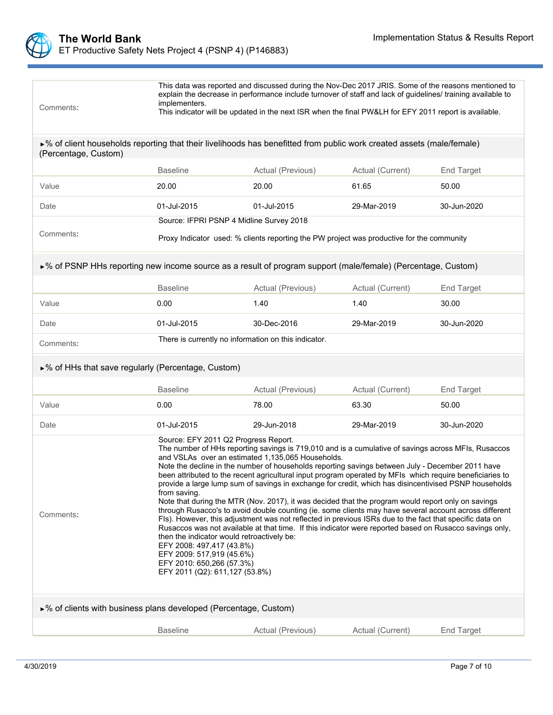

| Comments:                                                                                                                                     | This data was reported and discussed during the Nov-Dec 2017 JRIS. Some of the reasons mentioned to<br>explain the decrease in performance include turnover of staff and lack of guidelines/ training available to<br>implementers.<br>This indicator will be updated in the next ISR when the final PW&LH for EFY 2011 report is available.                                                                                                                                                                                                                                                                                                                                                                                                                                                                                                                                                                                                                                                                                                                                                                                                           |                                                                                           |                  |                   |  |  |
|-----------------------------------------------------------------------------------------------------------------------------------------------|--------------------------------------------------------------------------------------------------------------------------------------------------------------------------------------------------------------------------------------------------------------------------------------------------------------------------------------------------------------------------------------------------------------------------------------------------------------------------------------------------------------------------------------------------------------------------------------------------------------------------------------------------------------------------------------------------------------------------------------------------------------------------------------------------------------------------------------------------------------------------------------------------------------------------------------------------------------------------------------------------------------------------------------------------------------------------------------------------------------------------------------------------------|-------------------------------------------------------------------------------------------|------------------|-------------------|--|--|
| ►% of client households reporting that their livelihoods has benefitted from public work created assets (male/female)<br>(Percentage, Custom) |                                                                                                                                                                                                                                                                                                                                                                                                                                                                                                                                                                                                                                                                                                                                                                                                                                                                                                                                                                                                                                                                                                                                                        |                                                                                           |                  |                   |  |  |
|                                                                                                                                               | <b>Baseline</b>                                                                                                                                                                                                                                                                                                                                                                                                                                                                                                                                                                                                                                                                                                                                                                                                                                                                                                                                                                                                                                                                                                                                        | Actual (Previous)                                                                         | Actual (Current) | End Target        |  |  |
| Value                                                                                                                                         | 20.00                                                                                                                                                                                                                                                                                                                                                                                                                                                                                                                                                                                                                                                                                                                                                                                                                                                                                                                                                                                                                                                                                                                                                  | 20.00                                                                                     | 61.65            | 50.00             |  |  |
| Date                                                                                                                                          | 01-Jul-2015                                                                                                                                                                                                                                                                                                                                                                                                                                                                                                                                                                                                                                                                                                                                                                                                                                                                                                                                                                                                                                                                                                                                            | 01-Jul-2015                                                                               | 29-Mar-2019      | 30-Jun-2020       |  |  |
|                                                                                                                                               | Source: IFPRI PSNP 4 Midline Survey 2018                                                                                                                                                                                                                                                                                                                                                                                                                                                                                                                                                                                                                                                                                                                                                                                                                                                                                                                                                                                                                                                                                                               |                                                                                           |                  |                   |  |  |
| Comments:                                                                                                                                     |                                                                                                                                                                                                                                                                                                                                                                                                                                                                                                                                                                                                                                                                                                                                                                                                                                                                                                                                                                                                                                                                                                                                                        | Proxy Indicator used: % clients reporting the PW project was productive for the community |                  |                   |  |  |
| ►% of PSNP HHs reporting new income source as a result of program support (male/female) (Percentage, Custom)                                  |                                                                                                                                                                                                                                                                                                                                                                                                                                                                                                                                                                                                                                                                                                                                                                                                                                                                                                                                                                                                                                                                                                                                                        |                                                                                           |                  |                   |  |  |
|                                                                                                                                               | <b>Baseline</b>                                                                                                                                                                                                                                                                                                                                                                                                                                                                                                                                                                                                                                                                                                                                                                                                                                                                                                                                                                                                                                                                                                                                        | Actual (Previous)<br>Actual (Current)<br><b>End Target</b>                                |                  |                   |  |  |
| Value                                                                                                                                         | 0.00                                                                                                                                                                                                                                                                                                                                                                                                                                                                                                                                                                                                                                                                                                                                                                                                                                                                                                                                                                                                                                                                                                                                                   | 1.40<br>1.40<br>30.00                                                                     |                  |                   |  |  |
| Date                                                                                                                                          | 01-Jul-2015                                                                                                                                                                                                                                                                                                                                                                                                                                                                                                                                                                                                                                                                                                                                                                                                                                                                                                                                                                                                                                                                                                                                            | 30-Dec-2016                                                                               | 29-Mar-2019      | 30-Jun-2020       |  |  |
| Comments:                                                                                                                                     | There is currently no information on this indicator.                                                                                                                                                                                                                                                                                                                                                                                                                                                                                                                                                                                                                                                                                                                                                                                                                                                                                                                                                                                                                                                                                                   |                                                                                           |                  |                   |  |  |
| ►% of HHs that save regularly (Percentage, Custom)                                                                                            |                                                                                                                                                                                                                                                                                                                                                                                                                                                                                                                                                                                                                                                                                                                                                                                                                                                                                                                                                                                                                                                                                                                                                        |                                                                                           |                  |                   |  |  |
|                                                                                                                                               | <b>Baseline</b>                                                                                                                                                                                                                                                                                                                                                                                                                                                                                                                                                                                                                                                                                                                                                                                                                                                                                                                                                                                                                                                                                                                                        | Actual (Previous)                                                                         | Actual (Current) | <b>End Target</b> |  |  |
| Value                                                                                                                                         | 0.00                                                                                                                                                                                                                                                                                                                                                                                                                                                                                                                                                                                                                                                                                                                                                                                                                                                                                                                                                                                                                                                                                                                                                   | 78.00                                                                                     | 63.30            | 50.00             |  |  |
| Date                                                                                                                                          | 01-Jul-2015                                                                                                                                                                                                                                                                                                                                                                                                                                                                                                                                                                                                                                                                                                                                                                                                                                                                                                                                                                                                                                                                                                                                            | 29-Jun-2018                                                                               | 29-Mar-2019      | 30-Jun-2020       |  |  |
| Comments:                                                                                                                                     | Source: EFY 2011 Q2 Progress Report.<br>The number of HHs reporting savings is 719,010 and is a cumulative of savings across MFIs, Rusaccos<br>and VSLAs over an estimated 1,135,065 Households.<br>Note the decline in the number of households reporting savings between July - December 2011 have<br>been attributed to the recent agricultural input program operated by MFIs which require beneficiaries to<br>provide a large lump sum of savings in exchange for credit, which has disincentivised PSNP households<br>from saving.<br>Note that during the MTR (Nov. 2017), it was decided that the program would report only on savings<br>through Rusacco's to avoid double counting (ie. some clients may have several account across different<br>FIS). However, this adjustment was not reflected in previous ISRs due to the fact that specific data on<br>Rusaccos was not available at that time. If this indicator were reported based on Rusacco savings only,<br>then the indicator would retroactively be:<br>EFY 2008: 497,417 (43.8%)<br>EFY 2009: 517,919 (45.6%)<br>EFY 2010: 650,266 (57.3%)<br>EFY 2011 (Q2): 611,127 (53.8%) |                                                                                           |                  |                   |  |  |
| ►% of clients with business plans developed (Percentage, Custom)                                                                              |                                                                                                                                                                                                                                                                                                                                                                                                                                                                                                                                                                                                                                                                                                                                                                                                                                                                                                                                                                                                                                                                                                                                                        |                                                                                           |                  |                   |  |  |
|                                                                                                                                               | <b>Baseline</b>                                                                                                                                                                                                                                                                                                                                                                                                                                                                                                                                                                                                                                                                                                                                                                                                                                                                                                                                                                                                                                                                                                                                        | Actual (Previous)                                                                         | Actual (Current) | End Target        |  |  |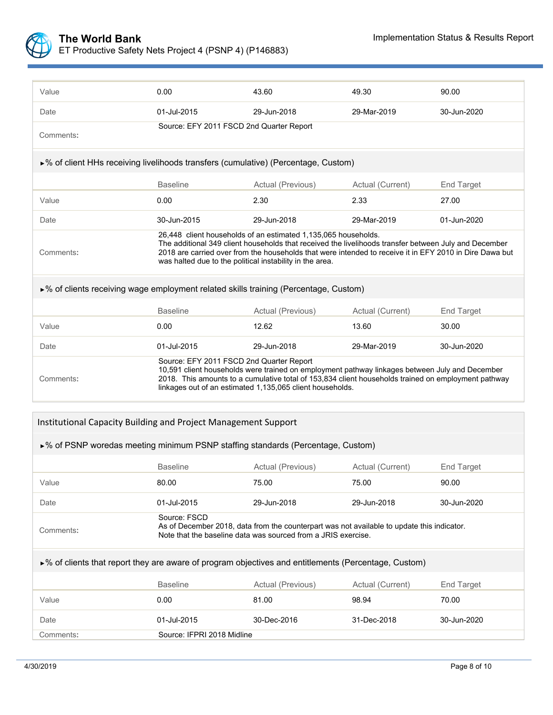

| Value                                                                                                | 0.00                                                                                                                                                                                                                                                                                                           | 43.60                                                                                                                                                                                                                                                                                                                                          | 49.30            | 90.00             |  |  |  |
|------------------------------------------------------------------------------------------------------|----------------------------------------------------------------------------------------------------------------------------------------------------------------------------------------------------------------------------------------------------------------------------------------------------------------|------------------------------------------------------------------------------------------------------------------------------------------------------------------------------------------------------------------------------------------------------------------------------------------------------------------------------------------------|------------------|-------------------|--|--|--|
| Date                                                                                                 | 01-Jul-2015                                                                                                                                                                                                                                                                                                    | 29-Jun-2018                                                                                                                                                                                                                                                                                                                                    | 29-Mar-2019      | 30-Jun-2020       |  |  |  |
| Comments:                                                                                            | Source: EFY 2011 FSCD 2nd Quarter Report                                                                                                                                                                                                                                                                       |                                                                                                                                                                                                                                                                                                                                                |                  |                   |  |  |  |
| ►% of client HHs receiving livelihoods transfers (cumulative) (Percentage, Custom)                   |                                                                                                                                                                                                                                                                                                                |                                                                                                                                                                                                                                                                                                                                                |                  |                   |  |  |  |
|                                                                                                      | <b>Baseline</b>                                                                                                                                                                                                                                                                                                | Actual (Previous)                                                                                                                                                                                                                                                                                                                              | Actual (Current) | <b>End Target</b> |  |  |  |
| Value                                                                                                | 0.00                                                                                                                                                                                                                                                                                                           | 2.30<br>2.33                                                                                                                                                                                                                                                                                                                                   |                  | 27.00             |  |  |  |
| Date                                                                                                 | 30-Jun-2015                                                                                                                                                                                                                                                                                                    | 29-Jun-2018                                                                                                                                                                                                                                                                                                                                    | 29-Mar-2019      | 01-Jun-2020       |  |  |  |
| Comments:                                                                                            |                                                                                                                                                                                                                                                                                                                | 26,448 client households of an estimated 1,135,065 households.<br>The additional 349 client households that received the livelihoods transfer between July and December<br>2018 are carried over from the households that were intended to receive it in EFY 2010 in Dire Dawa but<br>was halted due to the political instability in the area. |                  |                   |  |  |  |
| $\triangleright$ % of clients receiving wage employment related skills training (Percentage, Custom) |                                                                                                                                                                                                                                                                                                                |                                                                                                                                                                                                                                                                                                                                                |                  |                   |  |  |  |
|                                                                                                      | <b>Baseline</b>                                                                                                                                                                                                                                                                                                | Actual (Previous)                                                                                                                                                                                                                                                                                                                              | Actual (Current) | <b>End Target</b> |  |  |  |
| Value                                                                                                | 0.00                                                                                                                                                                                                                                                                                                           | 12.62                                                                                                                                                                                                                                                                                                                                          | 13.60            | 30.00             |  |  |  |
| Date                                                                                                 | 01-Jul-2015                                                                                                                                                                                                                                                                                                    | 29-Jun-2018                                                                                                                                                                                                                                                                                                                                    | 29-Mar-2019      | 30-Jun-2020       |  |  |  |
| Comments:                                                                                            | Source: EFY 2011 FSCD 2nd Quarter Report<br>10,591 client households were trained on employment pathway linkages between July and December<br>2018. This amounts to a cumulative total of 153,834 client households trained on employment pathway<br>linkages out of an estimated 1,135,065 client households. |                                                                                                                                                                                                                                                                                                                                                |                  |                   |  |  |  |

#### Institutional Capacity Building and Project Management Support

| Institutional Capacity Building and Project Management Support                                                       |                                                                                                                                                                             |                   |                  |             |  |  |
|----------------------------------------------------------------------------------------------------------------------|-----------------------------------------------------------------------------------------------------------------------------------------------------------------------------|-------------------|------------------|-------------|--|--|
| $\triangleright$ % of PSNP woredas meeting minimum PSNP staffing standards (Percentage, Custom)                      |                                                                                                                                                                             |                   |                  |             |  |  |
|                                                                                                                      | <b>Baseline</b>                                                                                                                                                             | Actual (Previous) | Actual (Current) | End Target  |  |  |
| Value                                                                                                                | 80.00                                                                                                                                                                       | 75.00             | 75.00            | 90.00       |  |  |
| Date                                                                                                                 | 01-Jul-2015                                                                                                                                                                 | 29-Jun-2018       | 29-Jun-2018      | 30-Jun-2020 |  |  |
| Comments:                                                                                                            | Source: FSCD<br>As of December 2018, data from the counterpart was not available to update this indicator.<br>Note that the baseline data was sourced from a JRIS exercise. |                   |                  |             |  |  |
| $\triangleright$ % of clients that report they are aware of program objectives and entitlements (Percentage, Custom) |                                                                                                                                                                             |                   |                  |             |  |  |
|                                                                                                                      | <b>Baseline</b>                                                                                                                                                             | Actual (Previous) | Actual (Current) | End Target  |  |  |
| Value                                                                                                                | 0.00                                                                                                                                                                        | 81.00             | 98.94            | 70.00       |  |  |
| Date                                                                                                                 | 01-Jul-2015                                                                                                                                                                 | 30-Dec-2016       | 31-Dec-2018      | 30-Jun-2020 |  |  |
| Comments:                                                                                                            | Source: IFPRI 2018 Midline                                                                                                                                                  |                   |                  |             |  |  |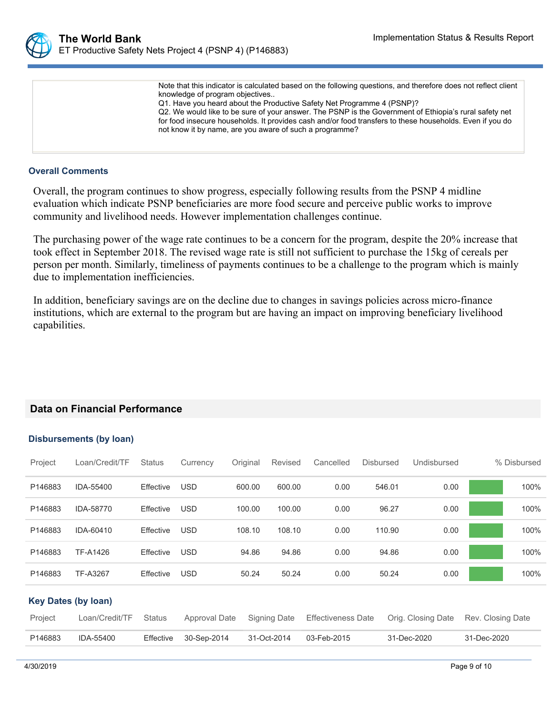

Note that this indicator is calculated based on the following questions, and therefore does not reflect client knowledge of program objectives.. Q1. Have you heard about the Productive Safety Net Programme 4 (PSNP)? Q2. We would like to be sure of your answer. The PSNP is the Government of Ethiopia's rural safety net for food insecure households. It provides cash and/or food transfers to these households. Even if you do not know it by name, are you aware of such a programme?

### **Overall Comments**

Overall, the program continues to show progress, especially following results from the PSNP 4 midline evaluation which indicate PSNP beneficiaries are more food secure and perceive public works to improve community and livelihood needs. However implementation challenges continue.

The purchasing power of the wage rate continues to be a concern for the program, despite the 20% increase that took effect in September 2018. The revised wage rate is still not sufficient to purchase the 15kg of cereals per person per month. Similarly, timeliness of payments continues to be a challenge to the program which is mainly due to implementation inefficiencies.

In addition, beneficiary savings are on the decline due to changes in savings policies across micro-finance institutions, which are external to the program but are having an impact on improving beneficiary livelihood capabilities.

## **Data on Financial Performance**

### **Disbursements (by loan)**

| Project | Loan/Credit/TF             | <b>Status</b> | Currency      | Original | Revised             | Cancelled                 | <b>Disbursed</b> | Undisbursed        |                   | % Disbursed |
|---------|----------------------------|---------------|---------------|----------|---------------------|---------------------------|------------------|--------------------|-------------------|-------------|
| P146883 | IDA-55400                  | Effective     | <b>USD</b>    | 600.00   | 600.00              | 0.00                      | 546.01           | 0.00               |                   | 100%        |
| P146883 | IDA-58770                  | Effective     | <b>USD</b>    | 100.00   | 100.00              | 0.00                      | 96.27            | 0.00               |                   | 100%        |
| P146883 | IDA-60410                  | Effective     | <b>USD</b>    | 108.10   | 108.10              | 0.00                      | 110.90           | 0.00               |                   | 100%        |
| P146883 | TF-A1426                   | Effective     | <b>USD</b>    | 94.86    | 94.86               | 0.00                      | 94.86            | 0.00               |                   | 100%        |
| P146883 | TF-A3267                   | Effective     | <b>USD</b>    | 50.24    | 50.24               | 0.00                      | 50.24            | 0.00               |                   | 100%        |
|         | <b>Key Dates (by loan)</b> |               |               |          |                     |                           |                  |                    |                   |             |
| Project | Loan/Credit/TF             | <b>Status</b> | Approval Date |          | <b>Signing Date</b> | <b>Effectiveness Date</b> |                  | Orig. Closing Date | Rev. Closing Date |             |
| P146883 | IDA-55400                  | Effective     | 30-Sep-2014   |          | 31-Oct-2014         | 03-Feb-2015               |                  | 31-Dec-2020        | 31-Dec-2020       |             |